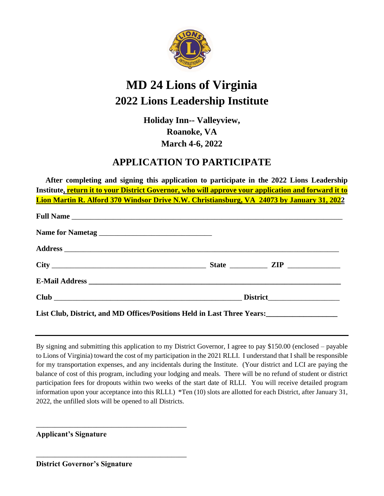

# **MD 24 Lions of Virginia 2022 Lions Leadership Institute**

**Holiday Inn-- Valleyview, Roanoke, VA March 4-6, 2022**

## **APPLICATION TO PARTICIPATE**

 **After completing and signing this application to participate in the 2022 Lions Leadership Institute, return it to your District Governor, who will approve your application and forward it to Lion Martin R. Alford 370 Windsor Drive N.W. Christiansburg, VA 24073 by January 31, 2022**

| List Club, District, and MD Offices/Positions Held in Last Three Years: |  |  |
|-------------------------------------------------------------------------|--|--|

By signing and submitting this application to my District Governor, I agree to pay \$150.00 (enclosed – payable to Lions of Virginia) toward the cost of my participation in the 2021 RLLI. I understand that I shall be responsible for my transportation expenses, and any incidentals during the Institute. (Your district and LCI are paying the balance of cost of this program, including your lodging and meals. There will be no refund of student or district participation fees for dropouts within two weeks of the start date of RLLI. You will receive detailed program information upon your acceptance into this RLLI.)\*Ten (10) slots are allotted for each District, after January 31, 2022, the unfilled slots will be opened to all Districts.

**Applicant's Signature**

**District Governor's Signature**

\_\_\_\_\_\_\_\_\_\_\_\_\_\_\_\_\_\_\_\_\_\_\_\_\_\_\_\_\_\_\_\_\_\_\_\_\_\_\_\_

\_\_\_\_\_\_\_\_\_\_\_\_\_\_\_\_\_\_\_\_\_\_\_\_\_\_\_\_\_\_\_\_\_\_\_\_\_\_\_\_